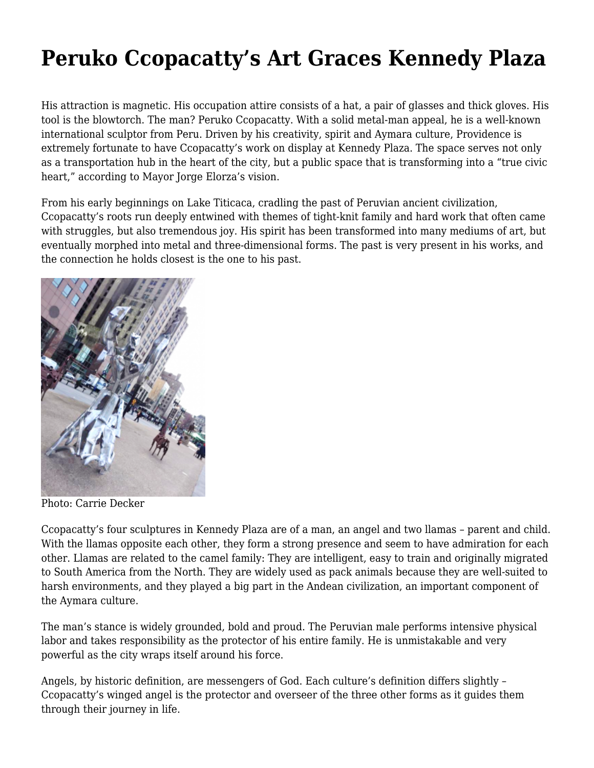## **[Peruko Ccopacatty's Art Graces Kennedy Plaza](https://motifri.com/peruko-ccopacattys/)**

His attraction is magnetic. His occupation attire consists of a hat, a pair of glasses and thick gloves. His tool is the blowtorch. The man? Peruko Ccopacatty. With a solid metal-man appeal, he is a well-known international sculptor from Peru. Driven by his creativity, spirit and Aymara culture, Providence is extremely fortunate to have Ccopacatty's work on display at Kennedy Plaza. The space serves not only as a transportation hub in the heart of the city, but a public space that is transforming into a "true civic heart," according to Mayor Jorge Elorza's vision.

From his early beginnings on Lake Titicaca, cradling the past of Peruvian ancient civilization, Ccopacatty's roots run deeply entwined with themes of tight-knit family and hard work that often came with struggles, but also tremendous joy. His spirit has been transformed into many mediums of art, but eventually morphed into metal and three-dimensional forms. The past is very present in his works, and the connection he holds closest is the one to his past.



Photo: Carrie Decker

Ccopacatty's four sculptures in Kennedy Plaza are of a man, an angel and two llamas – parent and child. With the llamas opposite each other, they form a strong presence and seem to have admiration for each other. Llamas are related to the camel family: They are intelligent, easy to train and originally migrated to South America from the North. They are widely used as pack animals because they are well-suited to harsh environments, and they played a big part in the Andean civilization, an important component of the Aymara culture.

The man's stance is widely grounded, bold and proud. The Peruvian male performs intensive physical labor and takes responsibility as the protector of his entire family. He is unmistakable and very powerful as the city wraps itself around his force.

Angels, by historic definition, are messengers of God. Each culture's definition differs slightly – Ccopacatty's winged angel is the protector and overseer of the three other forms as it guides them through their journey in life.